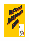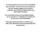**As a Shop Steward you have one of the most difficult jobs in the NALC. You are the front line of defense in the never ending struggle to insure contract compliance and protect your fellow Brothers and Sisters against discipline.**

**It is a stressful job at best and a downright thankless one at worst but it is a challenge you accepted and for that you are to be commended.**

**The purpose of this document is to improve your skills, tools, effectiveness and more importantly make your job easier**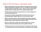# What is the first step in a discipline case?

- **• Before routine discipline can be issued local management must conduct a PDI (pre-discipline investigation). If this is not done then the employee has been denied "his/her day in court". That is a serious due process violation which will usually result in the discipline being voided.**
- **• The PDI is where the Union and grievant discover what management is contemplating discipline for.**
- **• Grievants must request representation at any PDI, that is known as invoking Weingarten Rights. Make sure Carriers know this right.**
- **• Before entering the office for a PDI the Steward should ask supervisor what the issue is and request time to speak privately with the Carrier. At that time ask the Carrier if they know what it is about.**
- **• There is no time limit on a PDI, don't permit management to set one. Steward should make detailed notes of all question & answers.**
- **• The Steward must make sure that the grievant is allowed to fully respond to all accusations and not be brow beaten or mistreated by the manager.**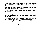- **• Immediately following a PDI the Steward must advise the grievant that he must begin to prepare his/her statement in the event discipline is issued.**
- **• The Carrier should also be advised to obtain any documentation that may be helpful to his defense, if applicable.**
- **• Advise the Carrier to not speak with anyone about the case without representation.**
- **• Inform the Carrier to immediately inform the Steward if discipline is issued and to sign the letter of discipline to acknowledge and fix the date / time of issue. Signing the letter does not signify any admission or agreement.**

**The PDI is the first opportunity to resolve a dispute or avoid discipline. Both the Steward and Carrier should always conduct themselves professionally and unemotionally for the sole purpose of either avoiding discipline or getting management to see an issue the Unonsi ' way. Being argumentative or uncooperative at the outset of any dispute will only cause management to dig in their heels.**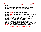# What happens when discipline is issued?

- **• The Steward gets a copy of the discipline.**
- **• Review each and every allegation made and make a list of any documents that may help the defense of the charges.**
- **• Request in writing any documents that may be needed to defend Carrier or prove a violation. Use Branch 38 form for all requests.**
- **• Request in writing any investigation time needed**
- **• Request in writing time to interview Carrier and / or witnesses and take statements.**
- **• When investigation has been completed and statements obtained, request in writing the scheduling of the Informal A meeting. At this point the Steward should complete PS Form 8190 lines 1 thru 12b. All information is important. Leave no box blank.**

**All Union work related to processing a grievance should be done on the clock. Making management pay for the handling of grievances is a disincentive for them to issue frivolous actions. Making all requests in writing establishes what was requested, of who and when.**

### **If it's not in writing, it never happened!**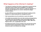# What happens at the Informal A meeting?

- **• The Informal A meeting is the Union's opportunity to present all of its arguments and the results of the investigation in an attempt to persuade management to either dismiss or modify the discipline. In a contract case the objective is to correct / eliminate the alleged contract violation.**
- **• As with a PDI there is no set time for the Informal A meeting and the Steward is on equal footing with the management person.**
- **• Both representatives have the authority to resolve the dispute.**
- **• All available documentation from each side must be exchanged during the meeting. Such documentation would include DOIS and/or TAC reports; witness statements; Steward statement; 3996's; MSP Scan Reports;'3972 s; etc. as applicable to the case.**
- **• All original documents must be included in the case file which will be sent to the Formal A representative. Copies of the entire case file should be made for the Steward and manager.**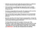- **• If after the case has been thoroughly discussed and there is a settlement, it must be reduced to writing, signed and dated by both parties.**
- **• In the event there is no settlement then both parties need to complete Lines 13a & 13b on PS Form 8190. The 8190 becomes the cover page of the grievance file.**
- **• The Union is responsible for the case file. The original case file must then be immediately forwarded to the Formal A representative.**
- **• There are time limits at every stage of the process. Do not unnecessarily delay the processing of the grievance at Informal A. It could cost us the grievance.**
- **• Send the case file to the Union Formal A representative. Contact the Formal A rep by phone or e-mail to advise them that the case is on the way and to discuss what transpired at Informal A.**

**The Shop Steward builds the foundation of every case. If the foundation is weak it will support nothing. Even if the merits of a case are strong, unless all the supporting documentation for the Unions arguments are in the case file it will be a weak case. Leave nothing out. IMPORTANT: ANY TIME LIMIT EXTENSION MUST BE IN WRITING.**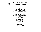

#### **GRIEVANCE PROCEDURE CHART ARTICLE 15 DISPUTE RESOLUTION PROCESS**

#### **Cause of a grievance**

#### Within 14 Days After Occurrence **Informal Step A Meeting Employee/Steward and Supervisor**

If No Resolution NALC May Initiate Formal Step A Meeting By Sending Joint

Step. A Form to Postmaster\* within 7 Days

### **Formal Step A Meeting**

**Branch President\* & Postmaster\* Meet Within 7 Days of Receipt of Joint Form and Issue Formal Step A Decision On Same Day**

If No Resolution NALC May Appeal to Step B Within 7 Days

#### **Step B Meeting Dispute Resolution Team Step B Decision Within 14 Days After Receipt of Appeal**

If Impassed NALC May Appeal to Arbitration within 14 Days

### **Arbitration NBA\* and Area Manager of H.R.\***

\*Or Designee –Days an appeal is in transit are variable and are not counted here.